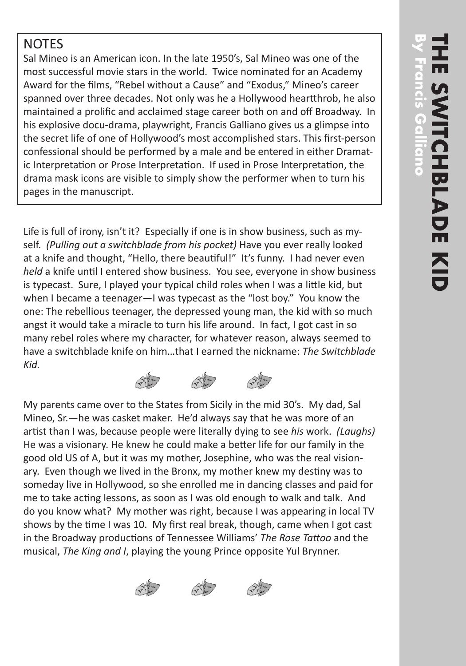## **NOTES**

Sal Mineo is an American icon. In the late 1950's, Sal Mineo was one of the most successful movie stars in the world. Twice nominated for an Academy Award for the films, "Rebel without a Cause" and "Exodus," Mineo's career spanned over three decades. Not only was he a Hollywood heartthrob, he also maintained a prolific and acclaimed stage career both on and off Broadway. In his explosive docu-drama, playwright, Francis Galliano gives us a glimpse into the secret life of one of Hollywood's most accomplished stars. This first-person confessional should be performed by a male and be entered in either Dramat ic Interpretation or Prose Interpretation. If used in Prose Interpretation, the drama mask icons are visible to simply show the performer when to turn his pages in the manuscript.

Life is full of irony, isn't it? Especially if one is in show business, such as my self. *(Pulling out a switchblade from his pocket)* Have you ever really looked at a knife and thought, "Hello, there beautiful!" It's funny. I had never even *held* a knife until I entered show business. You see, everyone in show business is typecast. Sure, I played your typical child roles when I was a little kid, but when I became a teenager—I was typecast as the "lost boy." You know the one: The rebellious teenager, the depressed young man, the kid with so much angst it would take a miracle to turn his life around. In fact, I got cast in so many rebel roles where my character, for whatever reason, always seemed to have a switchblade knife on him…that I earned the nickname: *The Switchblade Kid.*

My parents came over to the States from Sicily in the mid 30's. My dad, Sal Mineo, Sr.—he was casket maker. He'd always say that he was more of an artist than I was, because people were literally dying to see *his* work. *(Laughs)* He was a visionary. He knew he could make a better life for our family in the good old US of A, but it was my mother, Josephine, who was the real vision ary. Even though we lived in the Bronx, my mother knew my destiny was to someday live in Hollywood, so she enrolled me in dancing classes and paid for me to take acting lessons, as soon as I was old enough to walk and talk. And do you know what? My mother was right, because I was appearing in local TV shows by the time I was 10. My first real break, though, came when I got cast in the Broadway productions of Tennessee Williams' *The Rose Tattoo* and the musical, *The King and I*, playing the young Prince opposite Yul Brynner.